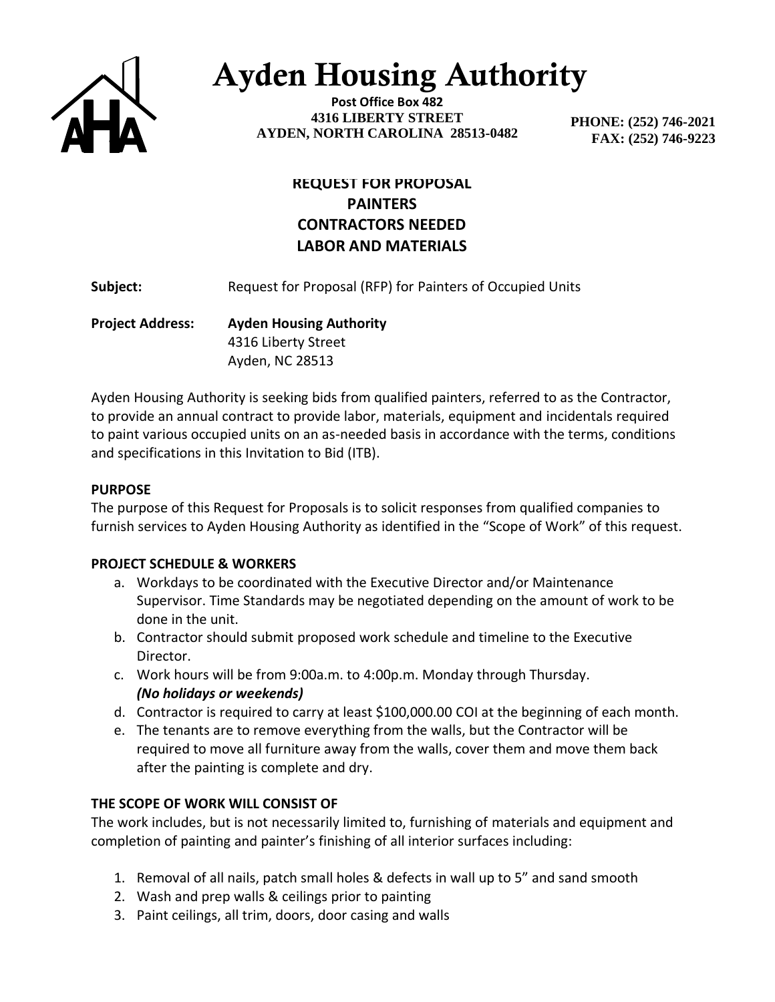

# Ayden Housing Authority

**Post Office Box 482 4316 LIBERTY STREET AYDEN, NORTH CAROLINA 28513-0482**

 **PHONE: (252) 746-2021 FAX: (252) 746-9223**

# **REQUEST FOR PROPOSAL PAINTERS CONTRACTORS NEEDED LABOR AND MATERIALS**

**Subject:** Request for Proposal (RFP) for Painters of Occupied Units

**Project Address: Ayden Housing Authority** 4316 Liberty Street Ayden, NC 28513

Ayden Housing Authority is seeking bids from qualified painters, referred to as the Contractor, to provide an annual contract to provide labor, materials, equipment and incidentals required to paint various occupied units on an as-needed basis in accordance with the terms, conditions and specifications in this Invitation to Bid (ITB).

## **PURPOSE**

The purpose of this Request for Proposals is to solicit responses from qualified companies to furnish services to Ayden Housing Authority as identified in the "Scope of Work" of this request.

## **PROJECT SCHEDULE & WORKERS**

- a. Workdays to be coordinated with the Executive Director and/or Maintenance Supervisor. Time Standards may be negotiated depending on the amount of work to be done in the unit.
- b. Contractor should submit proposed work schedule and timeline to the Executive Director.
- c. Work hours will be from 9:00a.m. to 4:00p.m. Monday through Thursday. *(No holidays or weekends)*
- d. Contractor is required to carry at least \$100,000.00 COI at the beginning of each month.
- e. The tenants are to remove everything from the walls, but the Contractor will be required to move all furniture away from the walls, cover them and move them back after the painting is complete and dry.

## **THE SCOPE OF WORK WILL CONSIST OF**

The work includes, but is not necessarily limited to, furnishing of materials and equipment and completion of painting and painter's finishing of all interior surfaces including:

- 1. Removal of all nails, patch small holes & defects in wall up to 5" and sand smooth
- 2. Wash and prep walls & ceilings prior to painting
- 3. Paint ceilings, all trim, doors, door casing and walls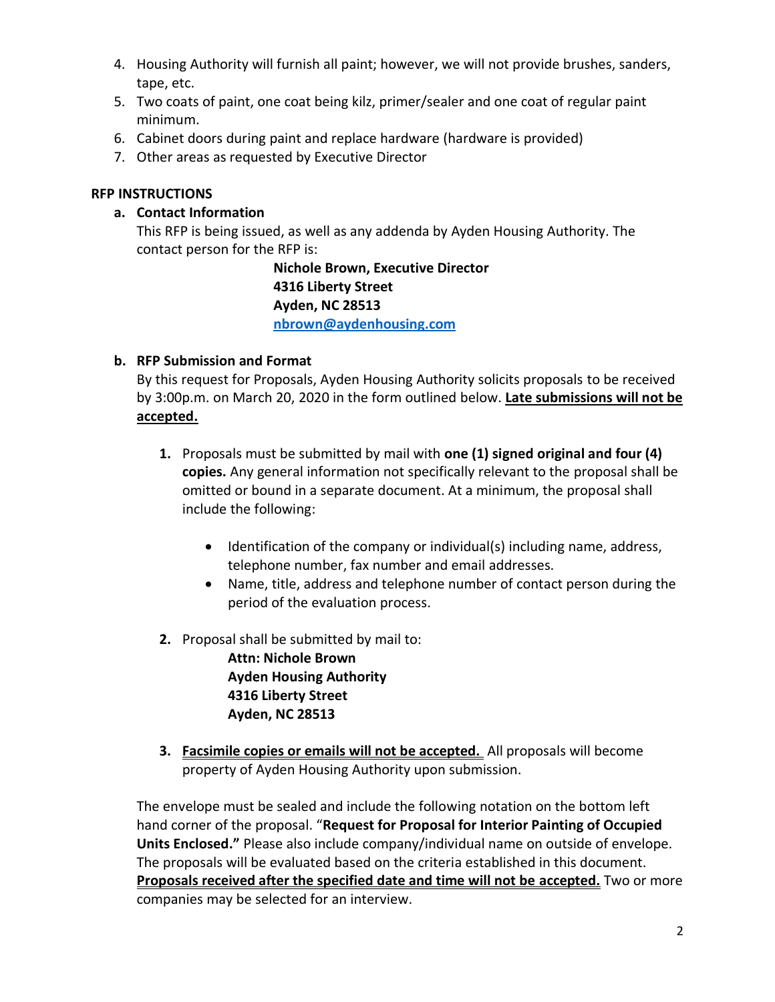- 4. Housing Authority will furnish all paint; however, we will not provide brushes, sanders, tape, etc.
- 5. Two coats of paint, one coat being kilz, primer/sealer and one coat of regular paint minimum.
- 6. Cabinet doors during paint and replace hardware (hardware is provided)
- 7. Other areas as requested by Executive Director

## **RFP INSTRUCTIONS**

## **a. Contact Information**

This RFP is being issued, as well as any addenda by Ayden Housing Authority. The contact person for the RFP is:

> **Nichole Brown, Executive Director 4316 Liberty Street Ayden, NC 28513 [nbrown@aydenhousing.com](mailto:nbrown@aydenhousing.com)**

## **b. RFP Submission and Format**

By this request for Proposals, Ayden Housing Authority solicits proposals to be received by 3:00p.m. on March 20, 2020 in the form outlined below. **Late submissions will not be accepted.**

- **1.** Proposals must be submitted by mail with **one (1) signed original and four (4) copies.** Any general information not specifically relevant to the proposal shall be omitted or bound in a separate document. At a minimum, the proposal shall include the following:
	- Identification of the company or individual(s) including name, address, telephone number, fax number and email addresses.
	- Name, title, address and telephone number of contact person during the period of the evaluation process.
- **2.** Proposal shall be submitted by mail to:

**Attn: Nichole Brown Ayden Housing Authority 4316 Liberty Street Ayden, NC 28513**

**3. Facsimile copies or emails will not be accepted.** All proposals will become property of Ayden Housing Authority upon submission.

The envelope must be sealed and include the following notation on the bottom left hand corner of the proposal. "**Request for Proposal for Interior Painting of Occupied Units Enclosed."** Please also include company/individual name on outside of envelope. The proposals will be evaluated based on the criteria established in this document. **Proposals received after the specified date and time will not be accepted.** Two or more companies may be selected for an interview.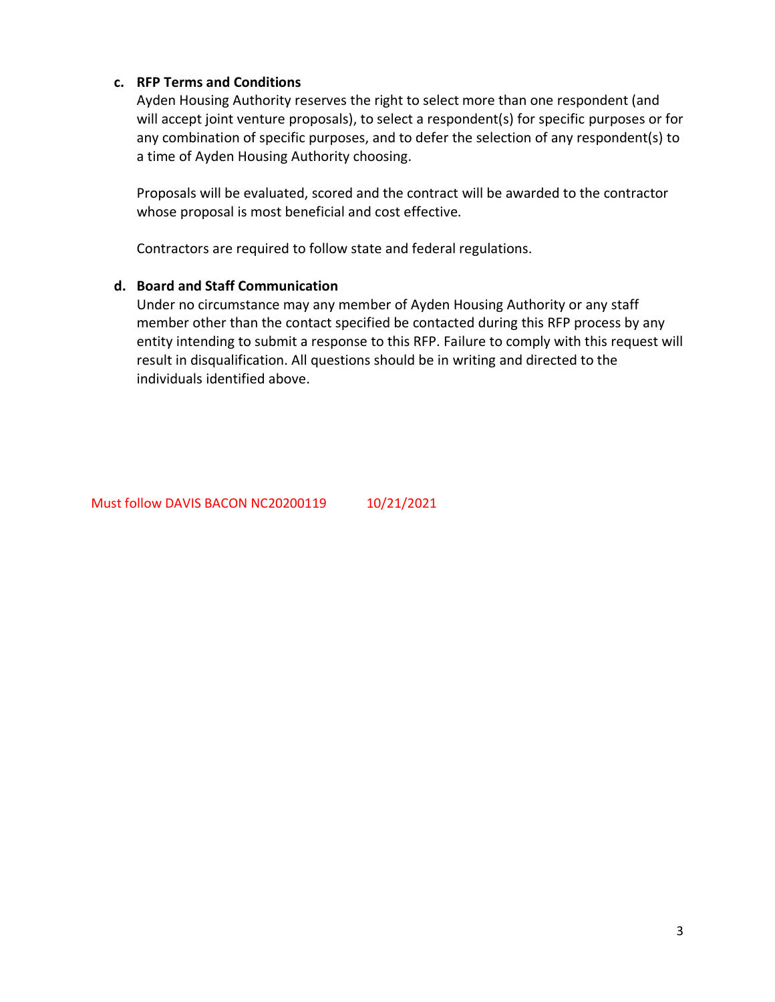### **c. RFP Terms and Conditions**

Ayden Housing Authority reserves the right to select more than one respondent (and will accept joint venture proposals), to select a respondent(s) for specific purposes or for any combination of specific purposes, and to defer the selection of any respondent(s) to a time of Ayden Housing Authority choosing.

Proposals will be evaluated, scored and the contract will be awarded to the contractor whose proposal is most beneficial and cost effective.

Contractors are required to follow state and federal regulations.

#### **d. Board and Staff Communication**

Under no circumstance may any member of Ayden Housing Authority or any staff member other than the contact specified be contacted during this RFP process by any entity intending to submit a response to this RFP. Failure to comply with this request will result in disqualification. All questions should be in writing and directed to the individuals identified above.

Must follow DAVIS BACON NC20200119 10/21/2021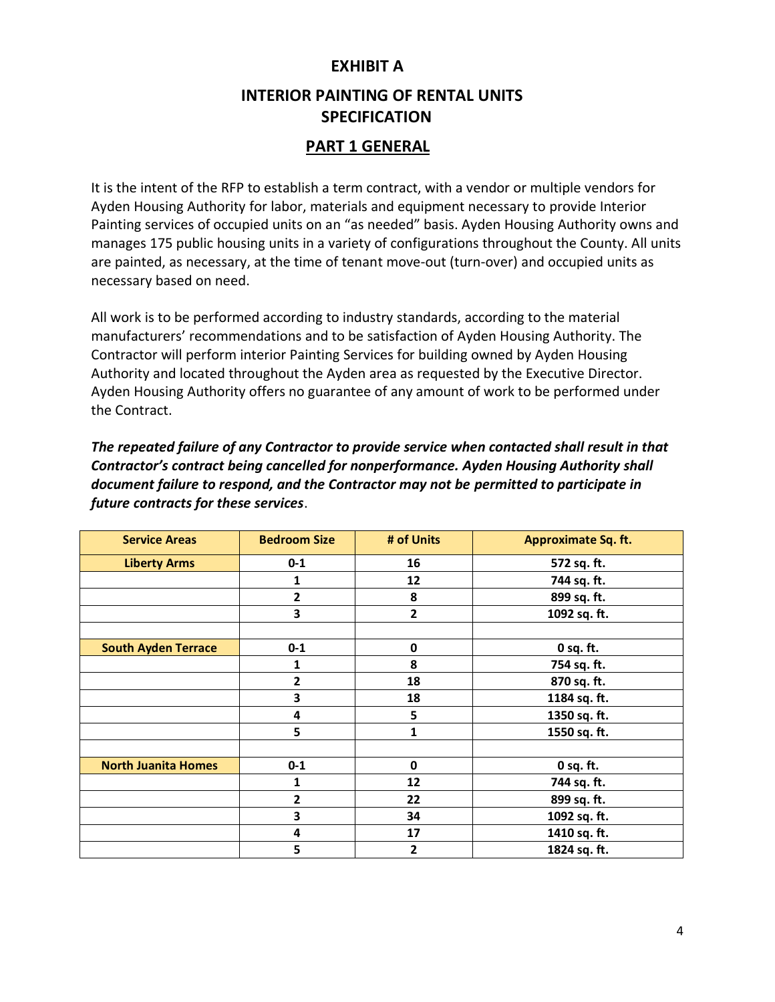## **EXHIBIT A**

# **INTERIOR PAINTING OF RENTAL UNITS SPECIFICATION**

## **PART 1 GENERAL**

It is the intent of the RFP to establish a term contract, with a vendor or multiple vendors for Ayden Housing Authority for labor, materials and equipment necessary to provide Interior Painting services of occupied units on an "as needed" basis. Ayden Housing Authority owns and manages 175 public housing units in a variety of configurations throughout the County. All units are painted, as necessary, at the time of tenant move-out (turn-over) and occupied units as necessary based on need.

All work is to be performed according to industry standards, according to the material manufacturers' recommendations and to be satisfaction of Ayden Housing Authority. The Contractor will perform interior Painting Services for building owned by Ayden Housing Authority and located throughout the Ayden area as requested by the Executive Director. Ayden Housing Authority offers no guarantee of any amount of work to be performed under the Contract.

*The repeated failure of any Contractor to provide service when contacted shall result in that Contractor's contract being cancelled for nonperformance. Ayden Housing Authority shall document failure to respond, and the Contractor may not be permitted to participate in future contracts for these services*.

| <b>Service Areas</b>       | <b>Bedroom Size</b>     | # of Units  | Approximate Sq. ft. |
|----------------------------|-------------------------|-------------|---------------------|
| <b>Liberty Arms</b>        | $0 - 1$                 | 16          | 572 sq. ft.         |
|                            | 1                       | 12          | 744 sq. ft.         |
|                            | $\overline{2}$          | 8           | 899 sq. ft.         |
|                            | 3                       | 2           | 1092 sq. ft.        |
|                            |                         |             |                     |
| <b>South Ayden Terrace</b> | $0 - 1$                 | $\mathbf 0$ | 0 sq. ft.           |
|                            | 1                       | 8           | 754 sq. ft.         |
|                            | $\overline{2}$          | 18          | 870 sq. ft.         |
|                            | 3                       | 18          | 1184 sq. ft.        |
|                            | 4                       | 5           | 1350 sq. ft.        |
|                            | 5                       | 1           | 1550 sq. ft.        |
|                            |                         |             |                     |
| <b>North Juanita Homes</b> | $0 - 1$                 | $\mathbf 0$ | 0 sq. ft.           |
|                            | 1                       | 12          | 744 sq. ft.         |
|                            | $\overline{2}$          | 22          | 899 sq. ft.         |
|                            | $\overline{\mathbf{3}}$ | 34          | 1092 sq. ft.        |
|                            | 4                       | 17          | 1410 sq. ft.        |
|                            | 5                       | 2           | 1824 sq. ft.        |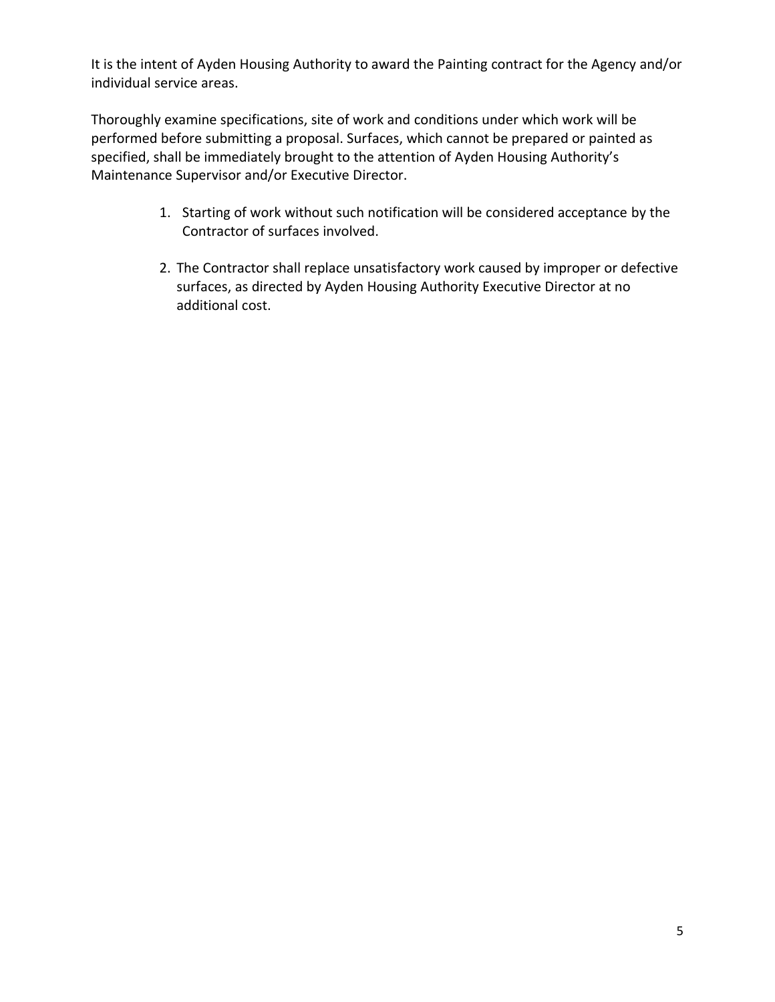It is the intent of Ayden Housing Authority to award the Painting contract for the Agency and/or individual service areas.

Thoroughly examine specifications, site of work and conditions under which work will be performed before submitting a proposal. Surfaces, which cannot be prepared or painted as specified, shall be immediately brought to the attention of Ayden Housing Authority's Maintenance Supervisor and/or Executive Director.

- 1. Starting of work without such notification will be considered acceptance by the Contractor of surfaces involved.
- 2. The Contractor shall replace unsatisfactory work caused by improper or defective surfaces, as directed by Ayden Housing Authority Executive Director at no additional cost.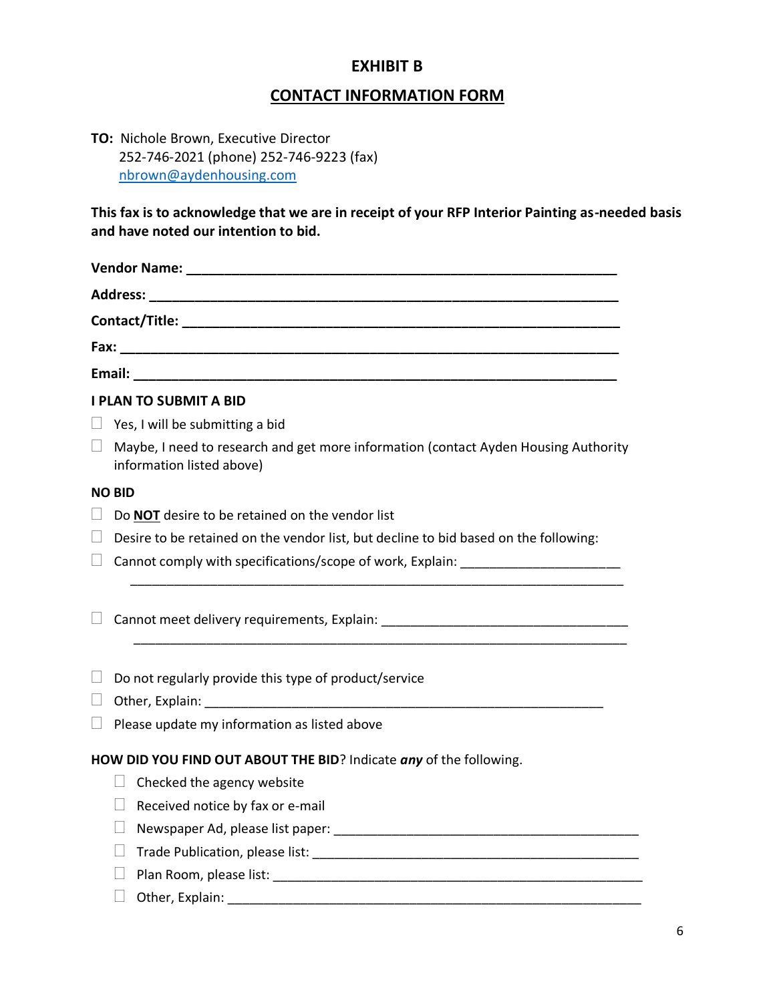## **EXHIBIT B**

# **CONTACT INFORMATION FORM**

**TO:** Nichole Brown, Executive Director 252-746-2021 (phone) 252-746-9223 (fax) [nbrown@aydenhousing.com](mailto:nbrown@aydenhousing.com)

**This fax is to acknowledge that we are in receipt of your RFP Interior Painting as-needed basis and have noted our intention to bid.** 

|              | <b>I PLAN TO SUBMIT A BID</b>                                                                                    |
|--------------|------------------------------------------------------------------------------------------------------------------|
|              | Yes, I will be submitting a bid                                                                                  |
| $\Box$       | Maybe, I need to research and get more information (contact Ayden Housing Authority<br>information listed above) |
|              | <b>NO BID</b>                                                                                                    |
| $\Box$       | Do <b>NOT</b> desire to be retained on the vendor list                                                           |
| $\mathbf{L}$ | Desire to be retained on the vendor list, but decline to bid based on the following:                             |
| ⊔            | Cannot comply with specifications/scope of work, Explain:                                                        |
|              |                                                                                                                  |
|              |                                                                                                                  |
|              | Do not regularly provide this type of product/service                                                            |
|              |                                                                                                                  |
|              | Please update my information as listed above                                                                     |
|              | HOW DID YOU FIND OUT ABOUT THE BID? Indicate any of the following.                                               |
|              | Checked the agency website<br>$\Box$                                                                             |
|              | Received notice by fax or e-mail                                                                                 |
|              |                                                                                                                  |
|              |                                                                                                                  |
|              |                                                                                                                  |
|              | Other, Explain:                                                                                                  |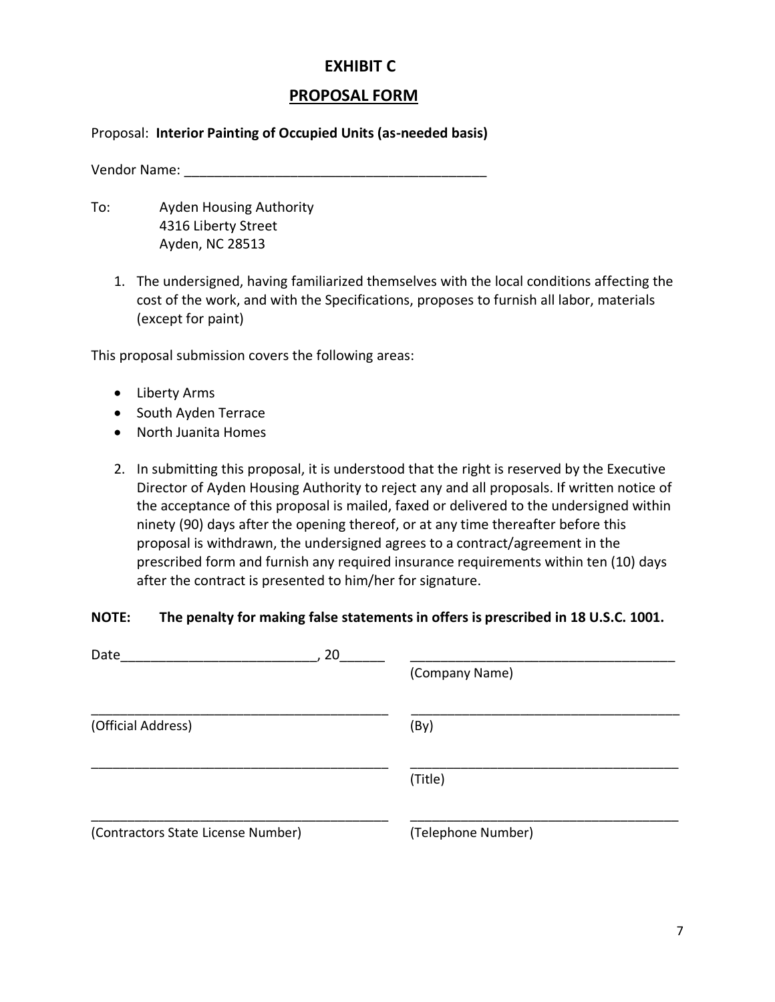## **EXHIBIT C**

## **PROPOSAL FORM**

#### Proposal: **Interior Painting of Occupied Units (as-needed basis)**

Vendor Name: **With a set of the UV** of the UV of the UV of the UV of the UV of the UV of the UV of the UV of the UV of the UV of the UV of the UV of the UV of the UV of the UV of the UV of the UV of the UV of the UV of the

- To: Ayden Housing Authority 4316 Liberty Street Ayden, NC 28513
	- 1. The undersigned, having familiarized themselves with the local conditions affecting the cost of the work, and with the Specifications, proposes to furnish all labor, materials (except for paint)

This proposal submission covers the following areas:

- Liberty Arms
- South Ayden Terrace
- North Juanita Homes
- 2. In submitting this proposal, it is understood that the right is reserved by the Executive Director of Ayden Housing Authority to reject any and all proposals. If written notice of the acceptance of this proposal is mailed, faxed or delivered to the undersigned within ninety (90) days after the opening thereof, or at any time thereafter before this proposal is withdrawn, the undersigned agrees to a contract/agreement in the prescribed form and furnish any required insurance requirements within ten (10) days after the contract is presented to him/her for signature.

#### **NOTE: The penalty for making false statements in offers is prescribed in 18 U.S.C. 1001.**

| Date<br>20                         | (Company Name)     |
|------------------------------------|--------------------|
| (Official Address)                 | (By)               |
|                                    | (Title)            |
| (Contractors State License Number) | (Telephone Number) |